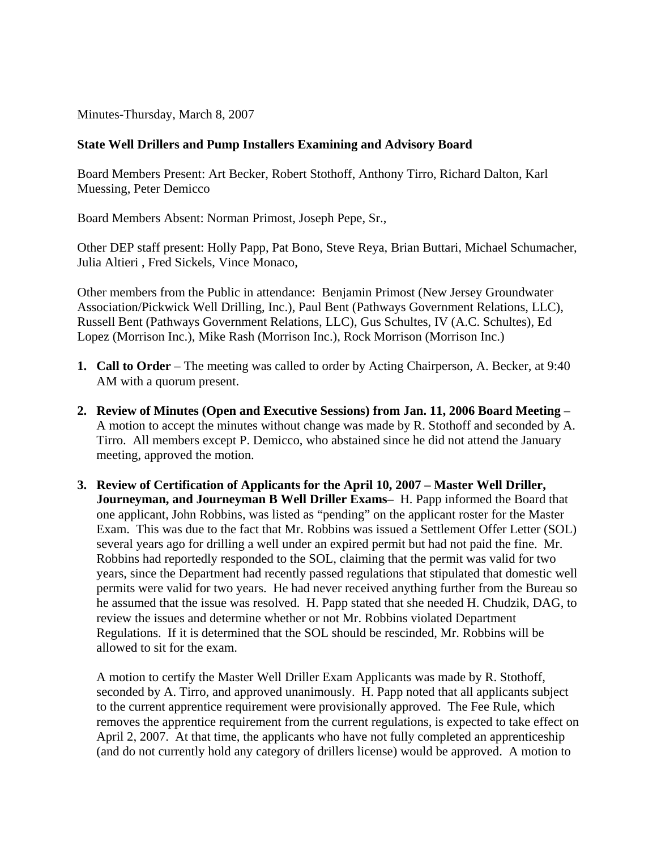Minutes-Thursday, March 8, 2007

## **State Well Drillers and Pump Installers Examining and Advisory Board**

Board Members Present: Art Becker, Robert Stothoff, Anthony Tirro, Richard Dalton, Karl Muessing, Peter Demicco

Board Members Absent: Norman Primost, Joseph Pepe, Sr.,

Other DEP staff present: Holly Papp, Pat Bono, Steve Reya, Brian Buttari, Michael Schumacher, Julia Altieri , Fred Sickels, Vince Monaco,

Other members from the Public in attendance: Benjamin Primost (New Jersey Groundwater Association/Pickwick Well Drilling, Inc.), Paul Bent (Pathways Government Relations, LLC), Russell Bent (Pathways Government Relations, LLC), Gus Schultes, IV (A.C. Schultes), Ed Lopez (Morrison Inc.), Mike Rash (Morrison Inc.), Rock Morrison (Morrison Inc.)

- **1. Call to Order** The meeting was called to order by Acting Chairperson, A. Becker, at 9:40 AM with a quorum present.
- **2. Review of Minutes (Open and Executive Sessions) from Jan. 11, 2006 Board Meeting** A motion to accept the minutes without change was made by R. Stothoff and seconded by A. Tirro. All members except P. Demicco, who abstained since he did not attend the January meeting, approved the motion.
- **3. Review of Certification of Applicants for the April 10, 2007 Master Well Driller, Journeyman, and Journeyman B Well Driller Exams–** H. Papp informed the Board that one applicant, John Robbins, was listed as "pending" on the applicant roster for the Master Exam. This was due to the fact that Mr. Robbins was issued a Settlement Offer Letter (SOL) several years ago for drilling a well under an expired permit but had not paid the fine. Mr. Robbins had reportedly responded to the SOL, claiming that the permit was valid for two years, since the Department had recently passed regulations that stipulated that domestic well permits were valid for two years. He had never received anything further from the Bureau so he assumed that the issue was resolved. H. Papp stated that she needed H. Chudzik, DAG, to review the issues and determine whether or not Mr. Robbins violated Department Regulations. If it is determined that the SOL should be rescinded, Mr. Robbins will be allowed to sit for the exam.

A motion to certify the Master Well Driller Exam Applicants was made by R. Stothoff, seconded by A. Tirro, and approved unanimously. H. Papp noted that all applicants subject to the current apprentice requirement were provisionally approved. The Fee Rule, which removes the apprentice requirement from the current regulations, is expected to take effect on April 2, 2007. At that time, the applicants who have not fully completed an apprenticeship (and do not currently hold any category of drillers license) would be approved. A motion to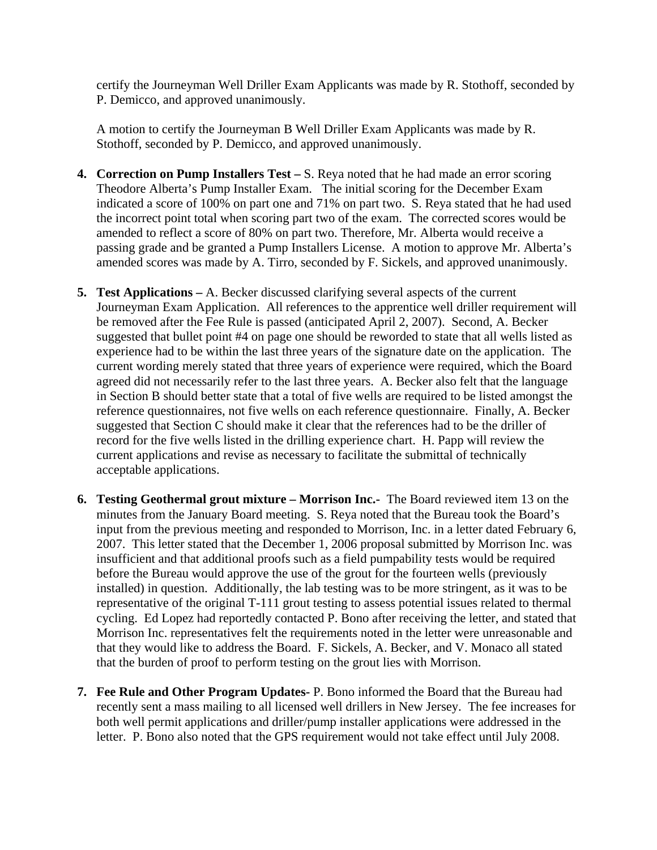certify the Journeyman Well Driller Exam Applicants was made by R. Stothoff, seconded by P. Demicco, and approved unanimously.

A motion to certify the Journeyman B Well Driller Exam Applicants was made by R. Stothoff, seconded by P. Demicco, and approved unanimously.

- **4. Correction on Pump Installers Test** S. Reya noted that he had made an error scoring Theodore Alberta's Pump Installer Exam. The initial scoring for the December Exam indicated a score of 100% on part one and 71% on part two. S. Reya stated that he had used the incorrect point total when scoring part two of the exam. The corrected scores would be amended to reflect a score of 80% on part two. Therefore, Mr. Alberta would receive a passing grade and be granted a Pump Installers License. A motion to approve Mr. Alberta's amended scores was made by A. Tirro, seconded by F. Sickels, and approved unanimously.
- **5. Test Applications –** A. Becker discussed clarifying several aspects of the current Journeyman Exam Application. All references to the apprentice well driller requirement will be removed after the Fee Rule is passed (anticipated April 2, 2007). Second, A. Becker suggested that bullet point #4 on page one should be reworded to state that all wells listed as experience had to be within the last three years of the signature date on the application. The current wording merely stated that three years of experience were required, which the Board agreed did not necessarily refer to the last three years. A. Becker also felt that the language in Section B should better state that a total of five wells are required to be listed amongst the reference questionnaires, not five wells on each reference questionnaire. Finally, A. Becker suggested that Section C should make it clear that the references had to be the driller of record for the five wells listed in the drilling experience chart. H. Papp will review the current applications and revise as necessary to facilitate the submittal of technically acceptable applications.
- **6. Testing Geothermal grout mixture Morrison Inc.-** The Board reviewed item 13 on the minutes from the January Board meeting. S. Reya noted that the Bureau took the Board's input from the previous meeting and responded to Morrison, Inc. in a letter dated February 6, 2007. This letter stated that the December 1, 2006 proposal submitted by Morrison Inc. was insufficient and that additional proofs such as a field pumpability tests would be required before the Bureau would approve the use of the grout for the fourteen wells (previously installed) in question. Additionally, the lab testing was to be more stringent, as it was to be representative of the original T-111 grout testing to assess potential issues related to thermal cycling. Ed Lopez had reportedly contacted P. Bono after receiving the letter, and stated that Morrison Inc. representatives felt the requirements noted in the letter were unreasonable and that they would like to address the Board. F. Sickels, A. Becker, and V. Monaco all stated that the burden of proof to perform testing on the grout lies with Morrison.
- **7. Fee Rule and Other Program Updates-** P. Bono informed the Board that the Bureau had recently sent a mass mailing to all licensed well drillers in New Jersey. The fee increases for both well permit applications and driller/pump installer applications were addressed in the letter. P. Bono also noted that the GPS requirement would not take effect until July 2008.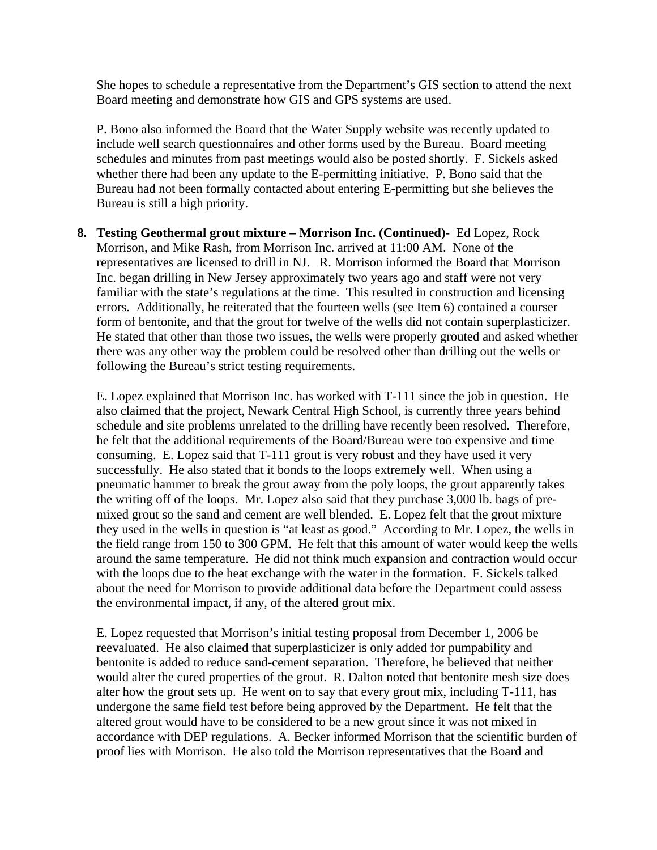She hopes to schedule a representative from the Department's GIS section to attend the next Board meeting and demonstrate how GIS and GPS systems are used.

P. Bono also informed the Board that the Water Supply website was recently updated to include well search questionnaires and other forms used by the Bureau. Board meeting schedules and minutes from past meetings would also be posted shortly. F. Sickels asked whether there had been any update to the E-permitting initiative. P. Bono said that the Bureau had not been formally contacted about entering E-permitting but she believes the Bureau is still a high priority.

**8. Testing Geothermal grout mixture – Morrison Inc. (Continued)-** Ed Lopez, Rock Morrison, and Mike Rash, from Morrison Inc. arrived at 11:00 AM. None of the representatives are licensed to drill in NJ. R. Morrison informed the Board that Morrison Inc. began drilling in New Jersey approximately two years ago and staff were not very familiar with the state's regulations at the time. This resulted in construction and licensing errors. Additionally, he reiterated that the fourteen wells (see Item 6) contained a courser form of bentonite, and that the grout for twelve of the wells did not contain superplasticizer. He stated that other than those two issues, the wells were properly grouted and asked whether there was any other way the problem could be resolved other than drilling out the wells or following the Bureau's strict testing requirements.

E. Lopez explained that Morrison Inc. has worked with T-111 since the job in question. He also claimed that the project, Newark Central High School, is currently three years behind schedule and site problems unrelated to the drilling have recently been resolved. Therefore, he felt that the additional requirements of the Board/Bureau were too expensive and time consuming. E. Lopez said that T-111 grout is very robust and they have used it very successfully. He also stated that it bonds to the loops extremely well. When using a pneumatic hammer to break the grout away from the poly loops, the grout apparently takes the writing off of the loops. Mr. Lopez also said that they purchase 3,000 lb. bags of premixed grout so the sand and cement are well blended. E. Lopez felt that the grout mixture they used in the wells in question is "at least as good." According to Mr. Lopez, the wells in the field range from 150 to 300 GPM. He felt that this amount of water would keep the wells around the same temperature. He did not think much expansion and contraction would occur with the loops due to the heat exchange with the water in the formation. F. Sickels talked about the need for Morrison to provide additional data before the Department could assess the environmental impact, if any, of the altered grout mix.

E. Lopez requested that Morrison's initial testing proposal from December 1, 2006 be reevaluated. He also claimed that superplasticizer is only added for pumpability and bentonite is added to reduce sand-cement separation. Therefore, he believed that neither would alter the cured properties of the grout. R. Dalton noted that bentonite mesh size does alter how the grout sets up. He went on to say that every grout mix, including T-111, has undergone the same field test before being approved by the Department. He felt that the altered grout would have to be considered to be a new grout since it was not mixed in accordance with DEP regulations. A. Becker informed Morrison that the scientific burden of proof lies with Morrison. He also told the Morrison representatives that the Board and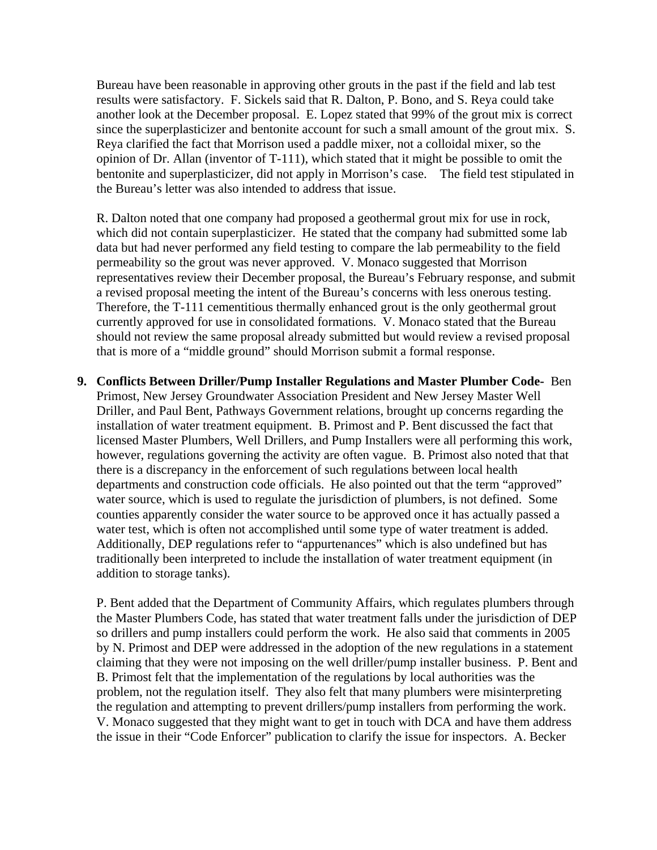Bureau have been reasonable in approving other grouts in the past if the field and lab test results were satisfactory. F. Sickels said that R. Dalton, P. Bono, and S. Reya could take another look at the December proposal. E. Lopez stated that 99% of the grout mix is correct since the superplasticizer and bentonite account for such a small amount of the grout mix. S. Reya clarified the fact that Morrison used a paddle mixer, not a colloidal mixer, so the opinion of Dr. Allan (inventor of T-111), which stated that it might be possible to omit the bentonite and superplasticizer, did not apply in Morrison's case. The field test stipulated in the Bureau's letter was also intended to address that issue.

R. Dalton noted that one company had proposed a geothermal grout mix for use in rock, which did not contain superplasticizer. He stated that the company had submitted some lab data but had never performed any field testing to compare the lab permeability to the field permeability so the grout was never approved. V. Monaco suggested that Morrison representatives review their December proposal, the Bureau's February response, and submit a revised proposal meeting the intent of the Bureau's concerns with less onerous testing. Therefore, the T-111 cementitious thermally enhanced grout is the only geothermal grout currently approved for use in consolidated formations. V. Monaco stated that the Bureau should not review the same proposal already submitted but would review a revised proposal that is more of a "middle ground" should Morrison submit a formal response.

**9. Conflicts Between Driller/Pump Installer Regulations and Master Plumber Code-** Ben Primost, New Jersey Groundwater Association President and New Jersey Master Well Driller, and Paul Bent, Pathways Government relations, brought up concerns regarding the installation of water treatment equipment. B. Primost and P. Bent discussed the fact that licensed Master Plumbers, Well Drillers, and Pump Installers were all performing this work, however, regulations governing the activity are often vague. B. Primost also noted that that there is a discrepancy in the enforcement of such regulations between local health departments and construction code officials. He also pointed out that the term "approved" water source, which is used to regulate the jurisdiction of plumbers, is not defined. Some counties apparently consider the water source to be approved once it has actually passed a water test, which is often not accomplished until some type of water treatment is added. Additionally, DEP regulations refer to "appurtenances" which is also undefined but has traditionally been interpreted to include the installation of water treatment equipment (in addition to storage tanks).

P. Bent added that the Department of Community Affairs, which regulates plumbers through the Master Plumbers Code, has stated that water treatment falls under the jurisdiction of DEP so drillers and pump installers could perform the work. He also said that comments in 2005 by N. Primost and DEP were addressed in the adoption of the new regulations in a statement claiming that they were not imposing on the well driller/pump installer business. P. Bent and B. Primost felt that the implementation of the regulations by local authorities was the problem, not the regulation itself. They also felt that many plumbers were misinterpreting the regulation and attempting to prevent drillers/pump installers from performing the work. V. Monaco suggested that they might want to get in touch with DCA and have them address the issue in their "Code Enforcer" publication to clarify the issue for inspectors. A. Becker